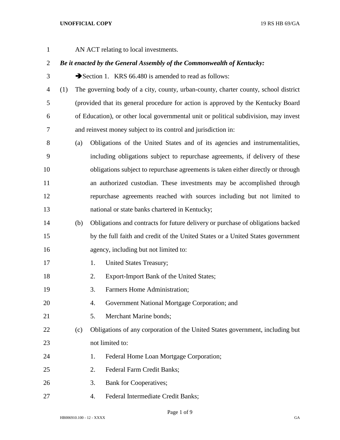AN ACT relating to local investments.

## *Be it enacted by the General Assembly of the Commonwealth of Kentucky:*

3 Section 1. KRS 66.480 is amended to read as follows:

 (1) The governing body of a city, county, urban-county, charter county, school district (provided that its general procedure for action is approved by the Kentucky Board of Education), or other local governmental unit or political subdivision, may invest and reinvest money subject to its control and jurisdiction in:

- (a) Obligations of the United States and of its agencies and instrumentalities, including obligations subject to repurchase agreements, if delivery of these obligations subject to repurchase agreements is taken either directly or through an authorized custodian. These investments may be accomplished through repurchase agreements reached with sources including but not limited to national or state banks chartered in Kentucky;
- (b) Obligations and contracts for future delivery or purchase of obligations backed by the full faith and credit of the United States or a United States government agency, including but not limited to:
- 17 1. United States Treasury;
- 2. Export-Import Bank of the United States;
- 3. Farmers Home Administration;
- 4. Government National Mortgage Corporation; and
- 5. Merchant Marine bonds;
- (c) Obligations of any corporation of the United States government, including but not limited to:
- 24 1. Federal Home Loan Mortgage Corporation;
- 2. Federal Farm Credit Banks;
- 3. Bank for Cooperatives;
- 4. Federal Intermediate Credit Banks;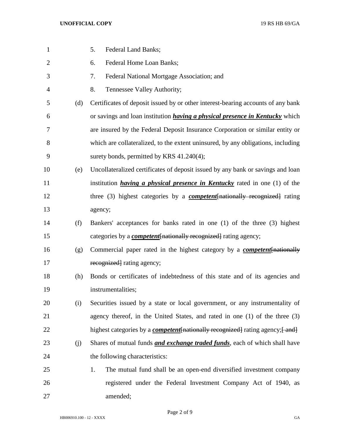| $\mathbf{1}$   |     | 5.<br>Federal Land Banks;                                                                |
|----------------|-----|------------------------------------------------------------------------------------------|
| $\overline{2}$ |     | Federal Home Loan Banks;<br>6.                                                           |
| 3              |     | Federal National Mortgage Association; and<br>7.                                         |
| 4              |     | 8.<br>Tennessee Valley Authority;                                                        |
| 5              | (d) | Certificates of deposit issued by or other interest-bearing accounts of any bank         |
| 6              |     | or savings and loan institution <i>having a physical presence in Kentucky</i> which      |
| 7              |     | are insured by the Federal Deposit Insurance Corporation or similar entity or            |
| 8              |     | which are collateralized, to the extent uninsured, by any obligations, including         |
| 9              |     | surety bonds, permitted by KRS 41.240(4);                                                |
| 10             | (e) | Uncollateralized certificates of deposit issued by any bank or savings and loan          |
| 11             |     | institution <i>having a physical presence in Kentucky</i> rated in one $(1)$ of the      |
| 12             |     | three (3) highest categories by a <b><i>competent</i></b> [nationally recognized] rating |
| 13             |     | agency;                                                                                  |
| 14             | (f) | Bankers' acceptances for banks rated in one (1) of the three (3) highest                 |
| 15             |     | categories by a <i>competent</i> [nationally recognized] rating agency;                  |
| 16             | (g) | Commercial paper rated in the highest category by a <b><i>competent</i></b> [nationally  |
| 17             |     | recognized rating agency;                                                                |
| 18             | (h) | Bonds or certificates of indebtedness of this state and of its agencies and              |
| 19             |     | instrumentalities;                                                                       |
| 20             | (i) | Securities issued by a state or local government, or any instrumentality of              |
| 21             |     | agency thereof, in the United States, and rated in one (1) of the three (3)              |
| 22             |     | highest categories by a <i>competent</i> [nationally recognized] rating agency; [and]    |
| 23             | (j) | Shares of mutual funds <i>and exchange traded funds</i> , each of which shall have       |
| 24             |     | the following characteristics:                                                           |
| 25             |     | The mutual fund shall be an open-end diversified investment company<br>1.                |
| 26             |     | registered under the Federal Investment Company Act of 1940, as                          |
| 27             |     | amended;                                                                                 |

Page 2 of 9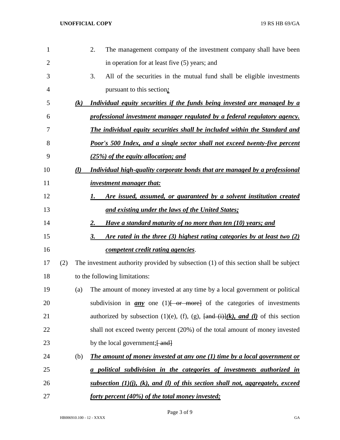| 1              |     |                   | 2.<br>The management company of the investment company shall have been                                                       |
|----------------|-----|-------------------|------------------------------------------------------------------------------------------------------------------------------|
| $\overline{2}$ |     |                   | in operation for at least five (5) years; and                                                                                |
| 3              |     |                   | 3.<br>All of the securities in the mutual fund shall be eligible investments                                                 |
| 4              |     |                   | pursuant to this section;                                                                                                    |
| 5              |     | $\left( k\right)$ | Individual equity securities if the funds being invested are managed by a                                                    |
| 6              |     |                   | professional investment manager regulated by a federal regulatory agency.                                                    |
| 7              |     |                   | The individual equity securities shall be included within the Standard and                                                   |
| 8              |     |                   | Poor's 500 Index, and a single sector shall not exceed twenty-five percent                                                   |
| 9              |     |                   | (25%) of the equity allocation; and                                                                                          |
| 10             |     | (l)               | Individual high-quality corporate bonds that are managed by a professional                                                   |
| 11             |     |                   | <i>investment manager that:</i>                                                                                              |
| 12             |     |                   | Are issued, assumed, or guaranteed by a solvent institution created<br>1.                                                    |
| 13             |     |                   | and existing under the laws of the United States;                                                                            |
| 14             |     |                   | Have a standard maturity of no more than ten (10) years; and<br>2.                                                           |
| 15             |     |                   | Are rated in the three (3) highest rating categories by at least two (2)<br>3.                                               |
| 16             |     |                   | competent credit rating agencies.                                                                                            |
| 17             | (2) |                   | The investment authority provided by subsection (1) of this section shall be subject                                         |
| 18             |     |                   | to the following limitations:                                                                                                |
| 19             |     | (a)               | The amount of money invested at any time by a local government or political                                                  |
| 20             |     |                   | subdivision in $any$ one (1) $\left\{\text{or} \text{more}\right\}$ of the categories of investments                         |
| 21             |     |                   | authorized by subsection (1)(e), (f), (g), $\frac{\text{and}(i)}{k}$ , and (l) of this section                               |
| 22             |     |                   | shall not exceed twenty percent (20%) of the total amount of money invested                                                  |
| 23             |     |                   | by the local government; [ and]                                                                                              |
| 24             |     | (b)               | <b>The amount of money invested at any one (1) time by a local government or</b>                                             |
| 25             |     |                   | a political subdivision in the categories of investments authorized in                                                       |
| 26             |     |                   | <u>subsection <math>(1)(i)</math>, <math>(k)</math>, and <math>(l)</math> of this section shall not, aggregately, exceed</u> |
| 27             |     |                   | forty percent (40%) of the total money invested;                                                                             |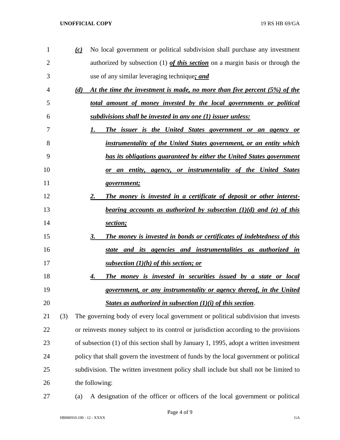| 1  |     | $\left( c\right)$ | No local government or political subdivision shall purchase any investment              |
|----|-----|-------------------|-----------------------------------------------------------------------------------------|
| 2  |     |                   | authorized by subsection (1) of this section on a margin basis or through the           |
| 3  |     |                   | use of any similar leveraging technique; and                                            |
| 4  |     | (d)               | At the time the investment is made, no more than five percent (5%) of the               |
| 5  |     |                   | total amount of money invested by the local governments or political                    |
| 6  |     |                   | subdivisions shall be invested in any one (1) issuer unless:                            |
| 7  |     |                   | The issuer is the United States government or an agency or<br>1.                        |
| 8  |     |                   | instrumentality of the United States government, or an entity which                     |
| 9  |     |                   | has its obligations guaranteed by either the United States government                   |
| 10 |     |                   | or an entity, agency, or instrumentality of the United States                           |
| 11 |     |                   | government;                                                                             |
| 12 |     |                   | The money is invested in a certificate of deposit or other interest-<br>2.              |
| 13 |     |                   | <u>bearing accounts as authorized by subsection <math>(1)(d)</math> and (e) of this</u> |
| 14 |     |                   | section;                                                                                |
| 15 |     |                   | The money is invested in bonds or certificates of indebtedness of this<br>3.            |
| 16 |     |                   | state and its agencies and instrumentalities as authorized in                           |
| 17 |     |                   | <u>subsection (1)(h) of this section; or</u>                                            |
| 18 |     |                   | The money is invested in securities issued by a state or local<br>4.                    |
| 19 |     |                   | government, or any instrumentality or agency thereof, in the United                     |
| 20 |     |                   | States as authorized in subsection $(1)(i)$ of this section.                            |
| 21 | (3) |                   | The governing body of every local government or political subdivision that invests      |
| 22 |     |                   | or reinvests money subject to its control or jurisdiction according to the provisions   |
| 23 |     |                   | of subsection (1) of this section shall by January 1, 1995, adopt a written investment  |
| 24 |     |                   | policy that shall govern the investment of funds by the local government or political   |
| 25 |     |                   | subdivision. The written investment policy shall include but shall not be limited to    |
| 26 |     |                   | the following:                                                                          |

(a) A designation of the officer or officers of the local government or political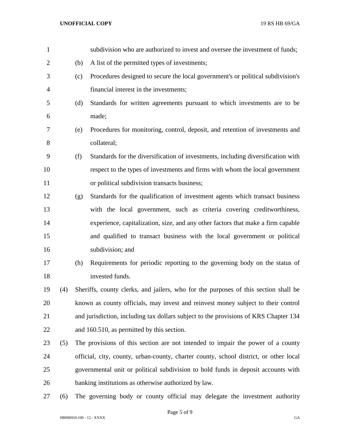| $\mathbf{1}$   |     |     | subdivision who are authorized to invest and oversee the investment of funds;         |
|----------------|-----|-----|---------------------------------------------------------------------------------------|
| $\overline{2}$ |     | (b) | A list of the permitted types of investments;                                         |
| 3              |     | (c) | Procedures designed to secure the local government's or political subdivision's       |
| $\overline{4}$ |     |     | financial interest in the investments;                                                |
| 5              |     | (d) | Standards for written agreements pursuant to which investments are to be              |
| 6              |     |     | made;                                                                                 |
| 7              |     | (e) | Procedures for monitoring, control, deposit, and retention of investments and         |
| 8              |     |     | collateral;                                                                           |
| 9              |     | (f) | Standards for the diversification of investments, including diversification with      |
| 10             |     |     | respect to the types of investments and firms with whom the local government          |
| 11             |     |     | or political subdivision transacts business;                                          |
| 12             |     | (g) | Standards for the qualification of investment agents which transact business          |
| 13             |     |     | with the local government, such as criteria covering creditworthiness,                |
| 14             |     |     | experience, capitalization, size, and any other factors that make a firm capable      |
| 15             |     |     | and qualified to transact business with the local government or political             |
| 16             |     |     | subdivision; and                                                                      |
| 17             |     | (h) | Requirements for periodic reporting to the governing body on the status of            |
| 18             |     |     | invested funds.                                                                       |
| 19             | (4) |     | Sheriffs, county clerks, and jailers, who for the purposes of this section shall be   |
| 20             |     |     | known as county officials, may invest and reinvest money subject to their control     |
| 21             |     |     | and jurisdiction, including tax dollars subject to the provisions of KRS Chapter 134  |
| 22             |     |     | and 160.510, as permitted by this section.                                            |
| 23             | (5) |     | The provisions of this section are not intended to impair the power of a county       |
| 24             |     |     | official, city, county, urban-county, charter county, school district, or other local |
| 25             |     |     | governmental unit or political subdivision to hold funds in deposit accounts with     |
| 26             |     |     | banking institutions as otherwise authorized by law.                                  |
| 27             | (6) |     | The governing body or county official may delegate the investment authority           |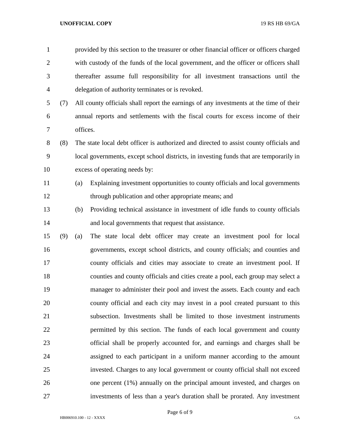| $\mathbf{1}$   |     |          | provided by this section to the treasurer or other financial officer or officers charged |
|----------------|-----|----------|------------------------------------------------------------------------------------------|
| $\overline{2}$ |     |          | with custody of the funds of the local government, and the officer or officers shall     |
| 3              |     |          | thereafter assume full responsibility for all investment transactions until the          |
| $\overline{4}$ |     |          | delegation of authority terminates or is revoked.                                        |
| 5              | (7) |          | All county officials shall report the earnings of any investments at the time of their   |
| 6              |     |          | annual reports and settlements with the fiscal courts for excess income of their         |
| 7              |     | offices. |                                                                                          |
| $8\,$          | (8) |          | The state local debt officer is authorized and directed to assist county officials and   |
| 9              |     |          | local governments, except school districts, in investing funds that are temporarily in   |
| 10             |     |          | excess of operating needs by:                                                            |
| 11             |     | (a)      | Explaining investment opportunities to county officials and local governments            |
| 12             |     |          | through publication and other appropriate means; and                                     |
| 13             |     | (b)      | Providing technical assistance in investment of idle funds to county officials           |
| 14             |     |          | and local governments that request that assistance.                                      |
| 15             | (9) | (a)      | The state local debt officer may create an investment pool for local                     |
| 16             |     |          | governments, except school districts, and county officials; and counties and             |
| 17             |     |          | county officials and cities may associate to create an investment pool. If               |
| 18             |     |          | counties and county officials and cities create a pool, each group may select a          |
| 19             |     |          | manager to administer their pool and invest the assets. Each county and each             |
| 20             |     |          | county official and each city may invest in a pool created pursuant to this              |
| 21             |     |          | subsection. Investments shall be limited to those investment instruments                 |
| 22             |     |          | permitted by this section. The funds of each local government and county                 |
| 23             |     |          | official shall be properly accounted for, and earnings and charges shall be              |
| 24             |     |          | assigned to each participant in a uniform manner according to the amount                 |
| 25             |     |          | invested. Charges to any local government or county official shall not exceed            |
| 26             |     |          | one percent (1%) annually on the principal amount invested, and charges on               |
| 27             |     |          | investments of less than a year's duration shall be prorated. Any investment             |

Page 6 of 9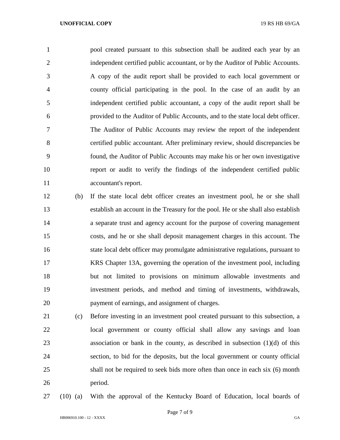pool created pursuant to this subsection shall be audited each year by an independent certified public accountant, or by the Auditor of Public Accounts. A copy of the audit report shall be provided to each local government or county official participating in the pool. In the case of an audit by an independent certified public accountant, a copy of the audit report shall be provided to the Auditor of Public Accounts, and to the state local debt officer. The Auditor of Public Accounts may review the report of the independent certified public accountant. After preliminary review, should discrepancies be found, the Auditor of Public Accounts may make his or her own investigative report or audit to verify the findings of the independent certified public accountant's report.

- (b) If the state local debt officer creates an investment pool, he or she shall establish an account in the Treasury for the pool. He or she shall also establish a separate trust and agency account for the purpose of covering management costs, and he or she shall deposit management charges in this account. The state local debt officer may promulgate administrative regulations, pursuant to KRS Chapter 13A, governing the operation of the investment pool, including but not limited to provisions on minimum allowable investments and investment periods, and method and timing of investments, withdrawals, payment of earnings, and assignment of charges.
- (c) Before investing in an investment pool created pursuant to this subsection, a local government or county official shall allow any savings and loan association or bank in the county, as described in subsection (1)(d) of this section, to bid for the deposits, but the local government or county official shall not be required to seek bids more often than once in each six (6) month period.
- 

(10) (a) With the approval of the Kentucky Board of Education, local boards of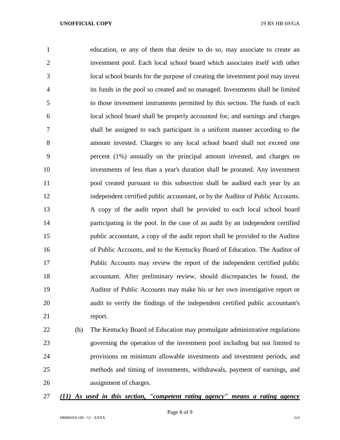education, or any of them that desire to do so, may associate to create an investment pool. Each local school board which associates itself with other local school boards for the purpose of creating the investment pool may invest its funds in the pool so created and so managed. Investments shall be limited to those investment instruments permitted by this section. The funds of each local school board shall be properly accounted for, and earnings and charges shall be assigned to each participant in a uniform manner according to the amount invested. Charges to any local school board shall not exceed one percent (1%) annually on the principal amount invested, and charges on investments of less than a year's duration shall be prorated. Any investment pool created pursuant to this subsection shall be audited each year by an independent certified public accountant, or by the Auditor of Public Accounts. A copy of the audit report shall be provided to each local school board participating in the pool. In the case of an audit by an independent certified public accountant, a copy of the audit report shall be provided to the Auditor of Public Accounts, and to the Kentucky Board of Education. The Auditor of Public Accounts may review the report of the independent certified public accountant. After preliminary review, should discrepancies be found, the Auditor of Public Accounts may make his or her own investigative report or audit to verify the findings of the independent certified public accountant's report.

 (b) The Kentucky Board of Education may promulgate administrative regulations governing the operation of the investment pool including but not limited to provisions on minimum allowable investments and investment periods, and methods and timing of investments, withdrawals, payment of earnings, and assignment of charges.

## *(11) As used in this section, "competent rating agency" means a rating agency*